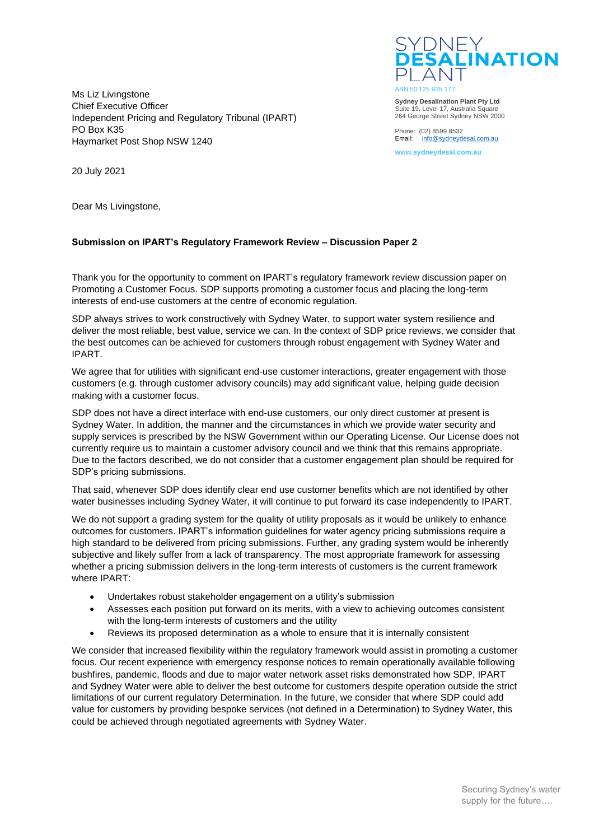Ms Liz Livingstone Chief Executive Officer Independent Pricing and Regulatory Tribunal (IPART) PO Box K35 Haymarket Post Shop NSW 1240



**Sydney Desalination Plant Pty Ltd** Suite 19, Level 17, Australia Square 264 George Street Sydney NSW 2000

Phone: (02) 8599 8532 Email: [info@sydneydesal.com.au](mailto:info@sydneydesal.com.au)

**www.sydneydesal.com.au**

20 July 2021

Dear Ms Livingstone,

## **Submission on IPART's Regulatory Framework Review – Discussion Paper 2**

Thank you for the opportunity to comment on IPART's regulatory framework review discussion paper on Promoting a Customer Focus. SDP supports promoting a customer focus and placing the long-term interests of end-use customers at the centre of economic regulation.

SDP always strives to work constructively with Sydney Water, to support water system resilience and deliver the most reliable, best value, service we can. In the context of SDP price reviews, we consider that the best outcomes can be achieved for customers through robust engagement with Sydney Water and IPART.

We agree that for utilities with significant end-use customer interactions, greater engagement with those customers (e.g. through customer advisory councils) may add significant value, helping guide decision making with a customer focus.

SDP does not have a direct interface with end-use customers, our only direct customer at present is Sydney Water. In addition, the manner and the circumstances in which we provide water security and supply services is prescribed by the NSW Government within our Operating License. Our License does not currently require us to maintain a customer advisory council and we think that this remains appropriate. Due to the factors described, we do not consider that a customer engagement plan should be required for SDP's pricing submissions.

That said, whenever SDP does identify clear end use customer benefits which are not identified by other water businesses including Sydney Water, it will continue to put forward its case independently to IPART.

We do not support a grading system for the quality of utility proposals as it would be unlikely to enhance outcomes for customers. IPART's information guidelines for water agency pricing submissions require a high standard to be delivered from pricing submissions. Further, any grading system would be inherently subjective and likely suffer from a lack of transparency. The most appropriate framework for assessing whether a pricing submission delivers in the long-term interests of customers is the current framework where IPART:

- Undertakes robust stakeholder engagement on a utility's submission
- Assesses each position put forward on its merits, with a view to achieving outcomes consistent with the long-term interests of customers and the utility
- Reviews its proposed determination as a whole to ensure that it is internally consistent

We consider that increased flexibility within the regulatory framework would assist in promoting a customer focus. Our recent experience with emergency response notices to remain operationally available following bushfires, pandemic, floods and due to major water network asset risks demonstrated how SDP, IPART and Sydney Water were able to deliver the best outcome for customers despite operation outside the strict limitations of our current regulatory Determination. In the future, we consider that where SDP could add value for customers by providing bespoke services (not defined in a Determination) to Sydney Water, this could be achieved through negotiated agreements with Sydney Water.